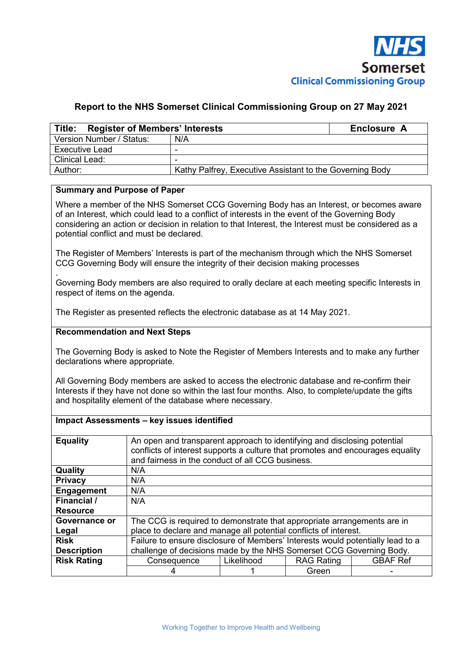

## **Report to the NHS Somerset Clinical Commissioning Group on 27 May 2021**

| Title: Register of Members' Interests | Enclosure A                                              |  |  |  |  |  |
|---------------------------------------|----------------------------------------------------------|--|--|--|--|--|
| Version Number / Status:              | N/A                                                      |  |  |  |  |  |
| Executive Lead                        |                                                          |  |  |  |  |  |
| <b>Clinical Lead:</b>                 |                                                          |  |  |  |  |  |
| Author:                               | Kathy Palfrey, Executive Assistant to the Governing Body |  |  |  |  |  |

### **Summary and Purpose of Paper**

Where a member of the NHS Somerset CCG Governing Body has an Interest, or becomes aware of an Interest, which could lead to a conflict of interests in the event of the Governing Body considering an action or decision in relation to that Interest, the Interest must be considered as a potential conflict and must be declared.

The Register of Members' Interests is part of the mechanism through which the NHS Somerset CCG Governing Body will ensure the integrity of their decision making processes

. Governing Body members are also required to orally declare at each meeting specific Interests in respect of items on the agenda.

The Register as presented reflects the electronic database as at 14 May 2021.

#### **Recommendation and Next Steps**

The Governing Body is asked to Note the Register of Members Interests and to make any further declarations where appropriate.

All Governing Body members are asked to access the electronic database and re-confirm their Interests if they have not done so within the last four months. Also, to complete/update the gifts and hospitality element of the database where necessary.

#### **Impact Assessments – key issues identified**

| <b>Equality</b>    | An open and transparent approach to identifying and disclosing potential<br>conflicts of interest supports a culture that promotes and encourages equality<br>and fairness in the conduct of all CCG business. |            |                   |                 |
|--------------------|----------------------------------------------------------------------------------------------------------------------------------------------------------------------------------------------------------------|------------|-------------------|-----------------|
| Quality            | N/A                                                                                                                                                                                                            |            |                   |                 |
| <b>Privacy</b>     | N/A                                                                                                                                                                                                            |            |                   |                 |
| <b>Engagement</b>  | N/A                                                                                                                                                                                                            |            |                   |                 |
| Financial /        | N/A                                                                                                                                                                                                            |            |                   |                 |
| <b>Resource</b>    |                                                                                                                                                                                                                |            |                   |                 |
| Governance or      | The CCG is required to demonstrate that appropriate arrangements are in                                                                                                                                        |            |                   |                 |
| Legal              | place to declare and manage all potential conflicts of interest.                                                                                                                                               |            |                   |                 |
| <b>Risk</b>        | Failure to ensure disclosure of Members' Interests would potentially lead to a                                                                                                                                 |            |                   |                 |
| <b>Description</b> | challenge of decisions made by the NHS Somerset CCG Governing Body.                                                                                                                                            |            |                   |                 |
| <b>Risk Rating</b> | Consequence                                                                                                                                                                                                    | Likelihood | <b>RAG Rating</b> | <b>GBAF Ref</b> |
|                    |                                                                                                                                                                                                                |            | Green             |                 |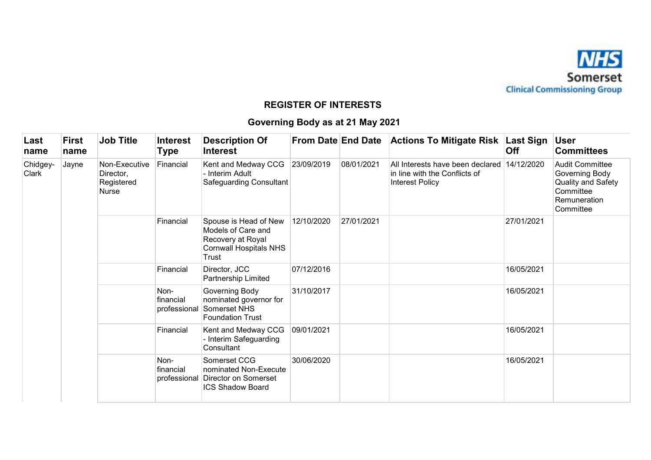

# **REGISTER OF INTERESTS**

# **Governing Body as at 21 May 2021**

| Last<br>name      | First<br>name | <b>Job Title</b>                                         | <b>Interest</b><br>Type           | <b>Description Of</b><br><b>Interest</b>                                                                   |            |            | From Date End Date Actions To Mitigate Risk                                          | ∣Last Sign<br>Off | <b>User</b><br><b>Committees</b>                                                                         |
|-------------------|---------------|----------------------------------------------------------|-----------------------------------|------------------------------------------------------------------------------------------------------------|------------|------------|--------------------------------------------------------------------------------------|-------------------|----------------------------------------------------------------------------------------------------------|
| Chidgey-<br>Clark | Jayne         | Non-Executive<br>Director,<br>Registered<br><b>Nurse</b> | Financial                         | Kent and Medway CCG<br>- Interim Adult<br>Safeguarding Consultant                                          | 23/09/2019 | 08/01/2021 | All Interests have been declared<br>in line with the Conflicts of<br>Interest Policy | 14/12/2020        | <b>Audit Committee</b><br>Governing Body<br>Quality and Safety<br>Committee<br>Remuneration<br>Committee |
|                   |               |                                                          | Financial                         | Spouse is Head of New<br>Models of Care and<br>Recovery at Royal<br><b>Cornwall Hospitals NHS</b><br>Trust | 12/10/2020 | 27/01/2021 |                                                                                      | 27/01/2021        |                                                                                                          |
|                   |               |                                                          | Financial                         | Director, JCC<br>Partnership Limited                                                                       | 07/12/2016 |            |                                                                                      | 16/05/2021        |                                                                                                          |
|                   |               |                                                          | Non-<br>financial<br>professional | Governing Body<br>nominated governor for<br>Somerset NHS<br><b>Foundation Trust</b>                        | 31/10/2017 |            |                                                                                      | 16/05/2021        |                                                                                                          |
|                   |               |                                                          | Financial                         | Kent and Medway CCG<br>Interim Safeguarding<br>Consultant                                                  | 09/01/2021 |            |                                                                                      | 16/05/2021        |                                                                                                          |
|                   |               |                                                          | Non-<br>financial                 | Somerset CCG<br>nominated Non-Execute<br>professional Director on Somerset<br><b>ICS Shadow Board</b>      | 30/06/2020 |            |                                                                                      | 16/05/2021        |                                                                                                          |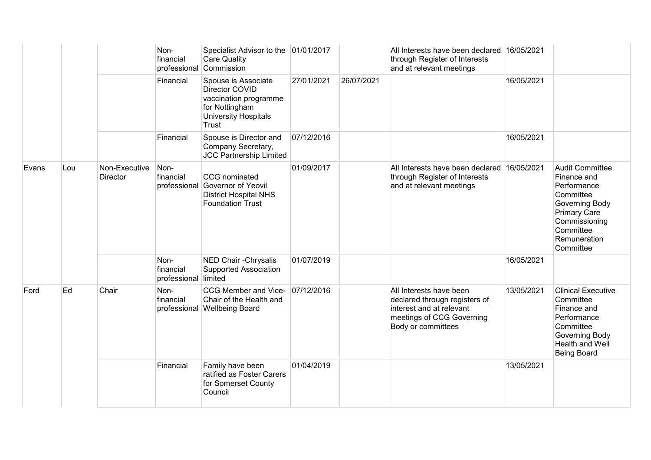|       |     |                           | Non-<br>financial<br>professional | Specialist Advisor to the 01/01/2017<br><b>Care Quality</b><br>Commission                                                |            |            | All Interests have been declared 16/05/2021<br>through Register of Interests<br>and at relevant meetings                                |            |                                                                                                                                                                       |
|-------|-----|---------------------------|-----------------------------------|--------------------------------------------------------------------------------------------------------------------------|------------|------------|-----------------------------------------------------------------------------------------------------------------------------------------|------------|-----------------------------------------------------------------------------------------------------------------------------------------------------------------------|
|       |     |                           | Financial                         | Spouse is Associate<br>Director COVID<br>vaccination programme<br>for Nottingham<br><b>University Hospitals</b><br>Trust | 27/01/2021 | 26/07/2021 |                                                                                                                                         | 16/05/2021 |                                                                                                                                                                       |
|       |     |                           | Financial                         | Spouse is Director and<br>Company Secretary,<br><b>JCC Partnership Limited</b>                                           | 07/12/2016 |            |                                                                                                                                         | 16/05/2021 |                                                                                                                                                                       |
| Evans | Lou | Non-Executive<br>Director | Non-<br>financial<br>professional | CCG nominated<br>Governor of Yeovil<br><b>District Hospital NHS</b><br><b>Foundation Trust</b>                           | 01/09/2017 |            | All Interests have been declared 16/05/2021<br>through Register of Interests<br>and at relevant meetings                                |            | <b>Audit Committee</b><br>Finance and<br>Performance<br>Committee<br>Governing Body<br><b>Primary Care</b><br>Commissioning<br>Committee<br>Remuneration<br>Committee |
|       |     |                           | Non-<br>financial<br>professional | NED Chair - Chrysalis<br>Supported Association<br>limited                                                                | 01/07/2019 |            |                                                                                                                                         | 16/05/2021 |                                                                                                                                                                       |
| Ford  | Ed  | Chair                     | Non-<br>financial<br>professional | CCG Member and Vice-<br>Chair of the Health and<br><b>Wellbeing Board</b>                                                | 07/12/2016 |            | All Interests have been<br>declared through registers of<br>interest and at relevant<br>meetings of CCG Governing<br>Body or committees | 13/05/2021 | <b>Clinical Executive</b><br>Committee<br>Finance and<br>Performance<br>Committee<br>Governing Body<br><b>Health and Well</b><br><b>Being Board</b>                   |
|       |     |                           | Financial                         | Family have been<br>ratified as Foster Carers<br>for Somerset County<br>Council                                          | 01/04/2019 |            |                                                                                                                                         | 13/05/2021 |                                                                                                                                                                       |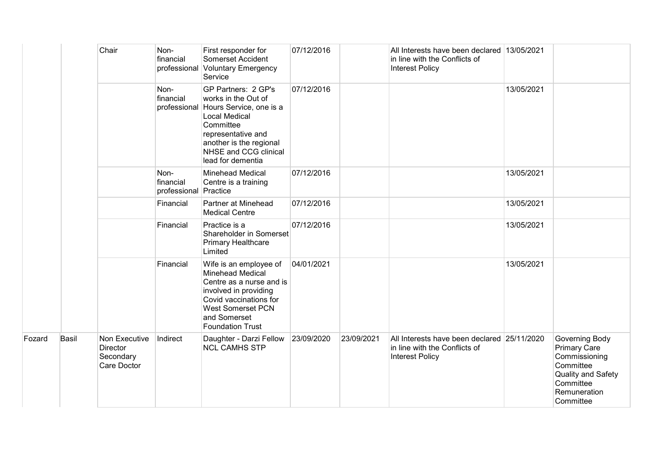|        |       | Chair                                                 | Non-<br>financial                          | First responder for<br>Somerset Accident<br>professional Voluntary Emergency<br>Service                                                                                                                   | 07/12/2016 |            | All Interests have been declared 13/05/2021<br>in line with the Conflicts of<br><b>Interest Policy</b> |            |                                                                                                                                     |
|--------|-------|-------------------------------------------------------|--------------------------------------------|-----------------------------------------------------------------------------------------------------------------------------------------------------------------------------------------------------------|------------|------------|--------------------------------------------------------------------------------------------------------|------------|-------------------------------------------------------------------------------------------------------------------------------------|
|        |       |                                                       | Non-<br>financial<br>professional          | GP Partners: 2 GP's<br>works in the Out of<br>Hours Service, one is a<br><b>Local Medical</b><br>Committee<br>representative and<br>another is the regional<br>NHSE and CCG clinical<br>lead for dementia | 07/12/2016 |            |                                                                                                        | 13/05/2021 |                                                                                                                                     |
|        |       |                                                       | Non-<br>financial<br>professional Practice | <b>Minehead Medical</b><br>Centre is a training                                                                                                                                                           | 07/12/2016 |            |                                                                                                        | 13/05/2021 |                                                                                                                                     |
|        |       |                                                       | Financial                                  | Partner at Minehead<br><b>Medical Centre</b>                                                                                                                                                              | 07/12/2016 |            |                                                                                                        | 13/05/2021 |                                                                                                                                     |
|        |       |                                                       | Financial                                  | Practice is a<br>Shareholder in Somerset<br>Primary Healthcare<br>Limited                                                                                                                                 | 07/12/2016 |            |                                                                                                        | 13/05/2021 |                                                                                                                                     |
|        |       |                                                       | Financial                                  | Wife is an employee of<br><b>Minehead Medical</b><br>Centre as a nurse and is<br>involved in providing<br>Covid vaccinations for<br><b>West Somerset PCN</b><br>and Somerset<br><b>Foundation Trust</b>   | 04/01/2021 |            |                                                                                                        | 13/05/2021 |                                                                                                                                     |
| Fozard | Basil | Non Executive<br>Director<br>Secondary<br>Care Doctor | Indirect                                   | Daughter - Darzi Fellow<br><b>NCL CAMHS STP</b>                                                                                                                                                           | 23/09/2020 | 23/09/2021 | All Interests have been declared 25/11/2020<br>in line with the Conflicts of<br><b>Interest Policy</b> |            | Governing Body<br><b>Primary Care</b><br>Commissioning<br>Committee<br>Quality and Safety<br>Committee<br>Remuneration<br>Committee |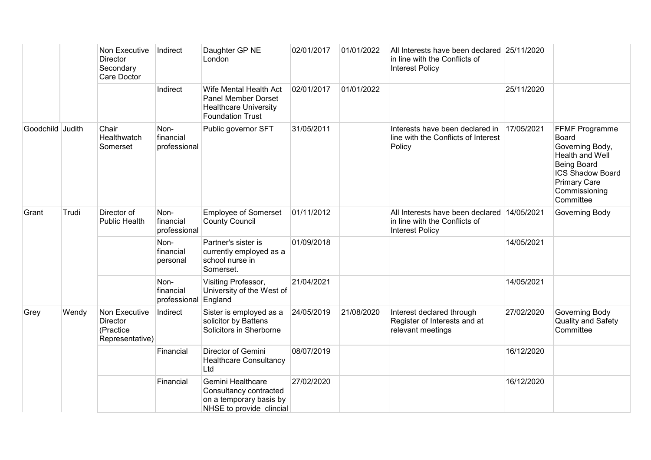|                  |       | Non Executive<br><b>Director</b><br>Secondary<br>Care Doctor     | Indirect                                  | Daughter GP NE<br>London                                                                                        | 02/01/2017 | 01/01/2022 | All Interests have been declared 25/11/2020<br>in line with the Conflicts of<br><b>Interest Policy</b> |            |                                                                                                                                                                            |
|------------------|-------|------------------------------------------------------------------|-------------------------------------------|-----------------------------------------------------------------------------------------------------------------|------------|------------|--------------------------------------------------------------------------------------------------------|------------|----------------------------------------------------------------------------------------------------------------------------------------------------------------------------|
|                  |       |                                                                  | Indirect                                  | Wife Mental Health Act<br><b>Panel Member Dorset</b><br><b>Healthcare University</b><br><b>Foundation Trust</b> | 02/01/2017 | 01/01/2022 |                                                                                                        | 25/11/2020 |                                                                                                                                                                            |
| Goodchild Judith |       | Chair<br>Healthwatch<br>Somerset                                 | Non-<br>financial<br>professional         | Public governor SFT                                                                                             | 31/05/2011 |            | Interests have been declared in<br>line with the Conflicts of Interest<br>Policy                       | 17/05/2021 | <b>FFMF Programme</b><br>Board<br>Governing Body,<br>Health and Well<br><b>Being Board</b><br><b>ICS Shadow Board</b><br><b>Primary Care</b><br>Commissioning<br>Committee |
| Grant            | Trudi | Director of<br><b>Public Health</b>                              | Non-<br>financial<br>professional         | <b>Employee of Somerset</b><br><b>County Council</b>                                                            | 01/11/2012 |            | All Interests have been declared 14/05/2021<br>in line with the Conflicts of<br><b>Interest Policy</b> |            | Governing Body                                                                                                                                                             |
|                  |       |                                                                  | Non-<br>financial<br>personal             | Partner's sister is<br>currently employed as a<br>school nurse in<br>Somerset.                                  | 01/09/2018 |            |                                                                                                        | 14/05/2021 |                                                                                                                                                                            |
|                  |       |                                                                  | Non-<br>financial<br>professional England | Visiting Professor,<br>University of the West of                                                                | 21/04/2021 |            |                                                                                                        | 14/05/2021 |                                                                                                                                                                            |
| Grey             | Wendy | Non Executive<br><b>Director</b><br>(Practice<br>Representative) | Indirect                                  | Sister is employed as a<br>solicitor by Battens<br>Solicitors in Sherborne                                      | 24/05/2019 | 21/08/2020 | Interest declared through<br>Register of Interests and at<br>relevant meetings                         | 27/02/2020 | Governing Body<br><b>Quality and Safety</b><br>Committee                                                                                                                   |
|                  |       |                                                                  | Financial                                 | Director of Gemini<br><b>Healthcare Consultancy</b><br>Ltd                                                      | 08/07/2019 |            |                                                                                                        | 16/12/2020 |                                                                                                                                                                            |
|                  |       |                                                                  | Financial                                 | Gemini Healthcare<br>Consultancy contracted<br>on a temporary basis by<br>NHSE to provide clincial              | 27/02/2020 |            |                                                                                                        | 16/12/2020 |                                                                                                                                                                            |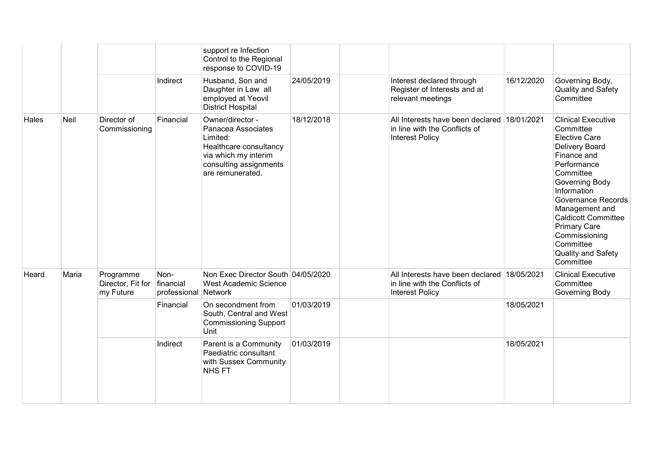|              |       |                                             |                                           | support re Infection<br>Control to the Regional<br>response to COVID-19                                                                            |            |                                                                                                        |            |                                                                                                                                                                                                                                                                                                                                   |
|--------------|-------|---------------------------------------------|-------------------------------------------|----------------------------------------------------------------------------------------------------------------------------------------------------|------------|--------------------------------------------------------------------------------------------------------|------------|-----------------------------------------------------------------------------------------------------------------------------------------------------------------------------------------------------------------------------------------------------------------------------------------------------------------------------------|
|              |       |                                             | Indirect                                  | Husband, Son and<br>Daughter in Law all<br>employed at Yeovil<br><b>District Hospital</b>                                                          | 24/05/2019 | Interest declared through<br>Register of Interests and at<br>relevant meetings                         | 16/12/2020 | Governing Body,<br>Quality and Safety<br>Committee                                                                                                                                                                                                                                                                                |
| <b>Hales</b> | Neil  | Director of<br>Commissioning                | Financial                                 | Owner/director -<br>Panacea Associates<br>Limited:<br>Healthcare consultancy<br>via which my interim<br>consulting assignments<br>are remunerated. | 18/12/2018 | All Interests have been declared 18/01/2021<br>in line with the Conflicts of<br><b>Interest Policy</b> |            | <b>Clinical Executive</b><br>Committee<br><b>Elective Care</b><br>Delivery Board<br>Finance and<br>Performance<br>Committee<br>Governing Body<br>Information<br><b>Governance Records</b><br>Management and<br><b>Caldicott Committee</b><br><b>Primary Care</b><br>Commissioning<br>Committee<br>Quality and Safety<br>Committee |
| Heard        | Maria | Programme<br>Director, Fit for<br>my Future | Non-<br>financial<br>professional Network | Non Exec Director South 04/05/2020<br><b>West Academic Science</b>                                                                                 |            | All Interests have been declared 18/05/2021<br>in line with the Conflicts of<br><b>Interest Policy</b> |            | <b>Clinical Executive</b><br>Committee<br>Governing Body                                                                                                                                                                                                                                                                          |
|              |       |                                             | Financial                                 | On secondment from<br>South, Central and West<br><b>Commissioning Support</b><br>Unit                                                              | 01/03/2019 |                                                                                                        | 18/05/2021 |                                                                                                                                                                                                                                                                                                                                   |
|              |       |                                             | Indirect                                  | Parent is a Community<br>Paediatric consultant<br>with Sussex Community<br>NHS FT                                                                  | 01/03/2019 |                                                                                                        | 18/05/2021 |                                                                                                                                                                                                                                                                                                                                   |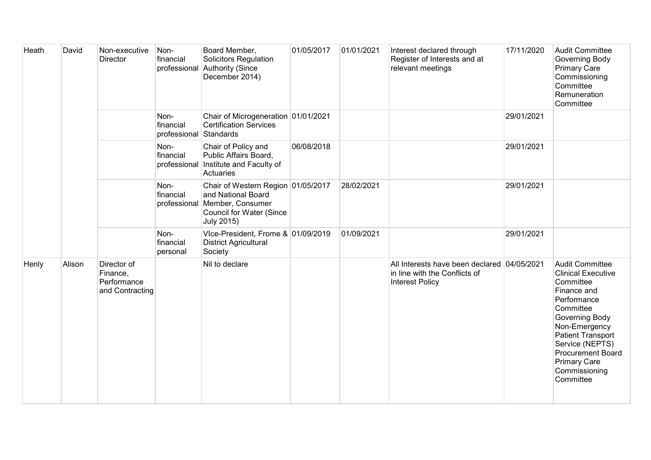| Heath | David  | Non-executive<br><b>Director</b>                          | Non-<br>financial                           | Board Member,<br><b>Solicitors Regulation</b><br>professional Authority (Since<br>December 2014)                                     | 01/05/2017 | 01/01/2021 | Interest declared through<br>Register of Interests and at<br>relevant meetings                         | 17/11/2020 | <b>Audit Committee</b><br>Governing Body<br><b>Primary Care</b><br>Commissioning<br>Committee<br>Remuneration<br>Committee                                                                                                                                                     |
|-------|--------|-----------------------------------------------------------|---------------------------------------------|--------------------------------------------------------------------------------------------------------------------------------------|------------|------------|--------------------------------------------------------------------------------------------------------|------------|--------------------------------------------------------------------------------------------------------------------------------------------------------------------------------------------------------------------------------------------------------------------------------|
|       |        |                                                           | Non-<br>financial<br>professional Standards | Chair of Microgeneration 01/01/2021<br><b>Certification Services</b>                                                                 |            |            |                                                                                                        | 29/01/2021 |                                                                                                                                                                                                                                                                                |
|       |        |                                                           | Non-<br>financial                           | Chair of Policy and<br>Public Affairs Board,<br>professional Institute and Faculty of<br>Actuaries                                   | 06/08/2018 |            |                                                                                                        | 29/01/2021 |                                                                                                                                                                                                                                                                                |
|       |        |                                                           | Non-<br>financial<br>professional           | Chair of Western Region 01/05/2017<br>and National Board<br>Member, Consumer<br><b>Council for Water (Since</b><br><b>July 2015)</b> |            | 28/02/2021 |                                                                                                        | 29/01/2021 |                                                                                                                                                                                                                                                                                |
|       |        |                                                           | Non-<br>financial<br>personal               | Vice-President, Frome & 01/09/2019<br><b>District Agricultural</b><br>Society                                                        |            | 01/09/2021 |                                                                                                        | 29/01/2021 |                                                                                                                                                                                                                                                                                |
| Henly | Alison | Director of<br>Finance,<br>Performance<br>and Contracting |                                             | Nil to declare                                                                                                                       |            |            | All Interests have been declared 04/05/2021<br>in line with the Conflicts of<br><b>Interest Policy</b> |            | <b>Audit Committee</b><br><b>Clinical Executive</b><br>Committee<br>Finance and<br>Performance<br>Committee<br>Governing Body<br>Non-Emergency<br><b>Patient Transport</b><br>Service (NEPTS)<br><b>Procurement Board</b><br><b>Primary Care</b><br>Commissioning<br>Committee |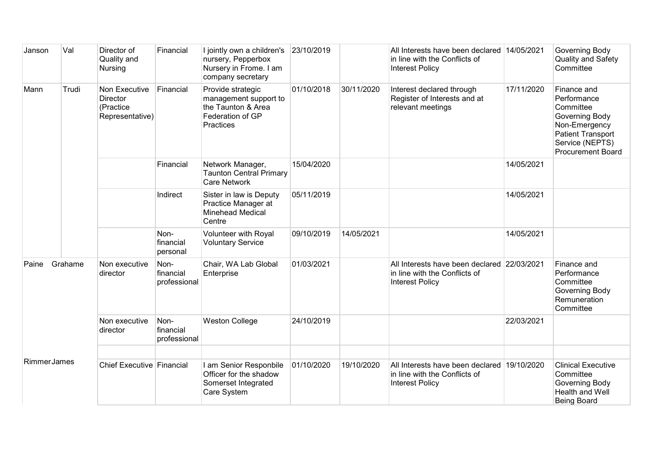| Janson             | Val     | Director of<br>Quality and<br>Nursing                            | Financial                         | I jointly own a children's 23/10/2019<br>nursery, Pepperbox<br>Nursery in Frome. I am<br>company secretary |            |            | All Interests have been declared 14/05/2021<br>in line with the Conflicts of<br><b>Interest Policy</b> |            | Governing Body<br>Quality and Safety<br>Committee                                                                                                     |
|--------------------|---------|------------------------------------------------------------------|-----------------------------------|------------------------------------------------------------------------------------------------------------|------------|------------|--------------------------------------------------------------------------------------------------------|------------|-------------------------------------------------------------------------------------------------------------------------------------------------------|
| Mann               | Trudi   | Non Executive<br><b>Director</b><br>(Practice<br>Representative) | Financial                         | Provide strategic<br>management support to<br>the Taunton & Area<br>Federation of GP<br><b>Practices</b>   | 01/10/2018 | 30/11/2020 | Interest declared through<br>Register of Interests and at<br>relevant meetings                         | 17/11/2020 | Finance and<br>Performance<br>Committee<br>Governing Body<br>Non-Emergency<br><b>Patient Transport</b><br>Service (NEPTS)<br><b>Procurement Board</b> |
|                    |         |                                                                  | Financial                         | Network Manager,<br><b>Taunton Central Primary</b><br><b>Care Network</b>                                  | 15/04/2020 |            |                                                                                                        | 14/05/2021 |                                                                                                                                                       |
|                    |         |                                                                  | Indirect                          | Sister in law is Deputy<br>Practice Manager at<br><b>Minehead Medical</b><br>Centre                        | 05/11/2019 |            |                                                                                                        | 14/05/2021 |                                                                                                                                                       |
|                    |         |                                                                  | Non-<br>financial<br>personal     | Volunteer with Royal<br><b>Voluntary Service</b>                                                           | 09/10/2019 | 14/05/2021 |                                                                                                        | 14/05/2021 |                                                                                                                                                       |
| Paine              | Grahame | Non executive<br>director                                        | Non-<br>financial<br>professional | Chair, WA Lab Global<br>Enterprise                                                                         | 01/03/2021 |            | All Interests have been declared 22/03/2021<br>in line with the Conflicts of<br><b>Interest Policy</b> |            | Finance and<br>Performance<br>Committee<br>Governing Body<br>Remuneration<br>Committee                                                                |
|                    |         | Non executive<br>director                                        | Non-<br>financial<br>professional | <b>Weston College</b>                                                                                      | 24/10/2019 |            |                                                                                                        | 22/03/2021 |                                                                                                                                                       |
| <b>RimmerJames</b> |         | Chief Executive Financial                                        |                                   | I am Senior Responbile<br>Officer for the shadow<br>Somerset Integrated<br>Care System                     | 01/10/2020 | 19/10/2020 | All Interests have been declared 19/10/2020<br>in line with the Conflicts of<br><b>Interest Policy</b> |            | <b>Clinical Executive</b><br>Committee<br>Governing Body<br>Health and Well<br><b>Being Board</b>                                                     |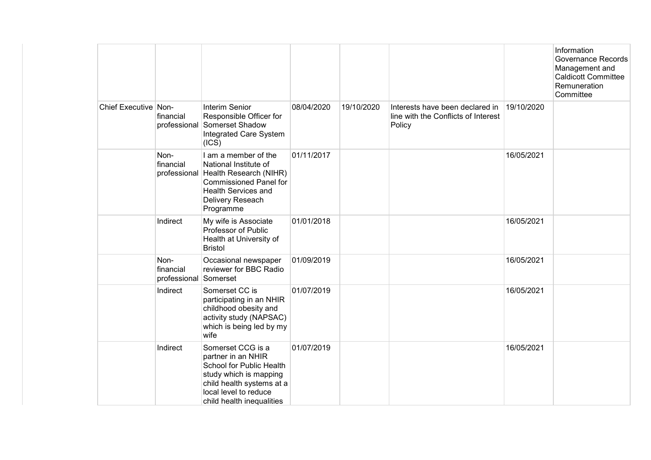|                      |                                            |                                                                                                                                                                                      |            |            |                                                                                  |            | Information<br>Governance Records<br>Management and<br><b>Caldicott Committee</b><br>Remuneration<br>Committee |
|----------------------|--------------------------------------------|--------------------------------------------------------------------------------------------------------------------------------------------------------------------------------------|------------|------------|----------------------------------------------------------------------------------|------------|----------------------------------------------------------------------------------------------------------------|
| Chief Executive Non- | financial                                  | Interim Senior<br>Responsible Officer for<br>professional Somerset Shadow<br>Integrated Care System<br>(ICS)                                                                         | 08/04/2020 | 19/10/2020 | Interests have been declared in<br>line with the Conflicts of Interest<br>Policy | 19/10/2020 |                                                                                                                |
|                      | Non-<br>financial                          | I am a member of the<br>National Institute of<br>professional Health Research (NIHR)<br><b>Commissioned Panel for</b><br><b>Health Services and</b><br>Delivery Reseach<br>Programme | 01/11/2017 |            |                                                                                  | 16/05/2021 |                                                                                                                |
|                      | Indirect                                   | My wife is Associate<br>Professor of Public<br>Health at University of<br><b>Bristol</b>                                                                                             | 01/01/2018 |            |                                                                                  | 16/05/2021 |                                                                                                                |
|                      | Non-<br>financial<br>professional Somerset | Occasional newspaper<br>reviewer for BBC Radio                                                                                                                                       | 01/09/2019 |            |                                                                                  | 16/05/2021 |                                                                                                                |
|                      | Indirect                                   | Somerset CC is<br>participating in an NHIR<br>childhood obesity and<br>activity study (NAPSAC)<br>which is being led by my<br>wife                                                   | 01/07/2019 |            |                                                                                  | 16/05/2021 |                                                                                                                |
|                      | Indirect                                   | Somerset CCG is a<br>partner in an NHIR<br>School for Public Health<br>study which is mapping<br>child health systems at a<br>local level to reduce<br>child health inequalities     | 01/07/2019 |            |                                                                                  | 16/05/2021 |                                                                                                                |